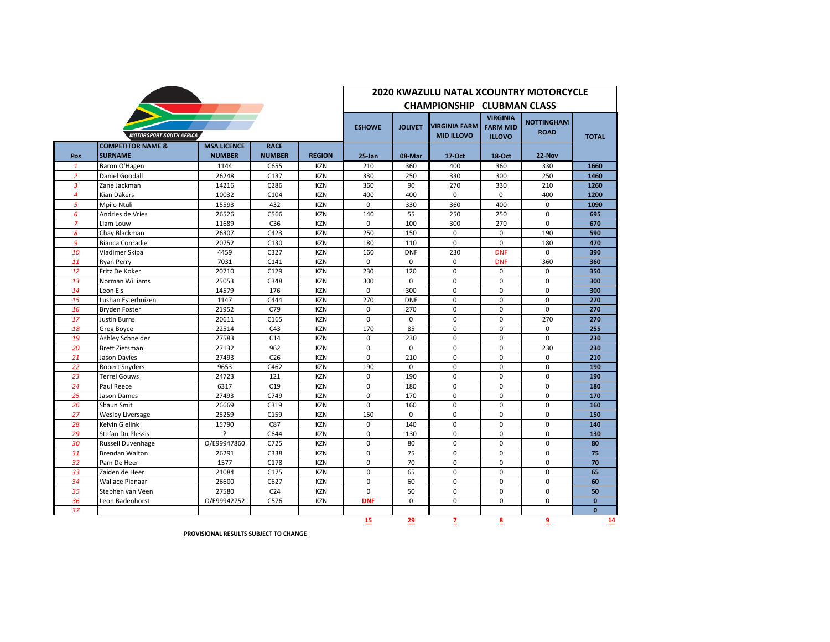|                                |                                                |                                     |                              |               | <b>2020 KWAZULU NATAL XCOUNTRY MOTORCYCLE</b> |                |                                           |                                                     |                                  |              |  |  |
|--------------------------------|------------------------------------------------|-------------------------------------|------------------------------|---------------|-----------------------------------------------|----------------|-------------------------------------------|-----------------------------------------------------|----------------------------------|--------------|--|--|
|                                |                                                |                                     |                              |               |                                               |                | <b>CHAMPIONSHIP CLUBMAN CLASS</b>         |                                                     |                                  |              |  |  |
| <b>MOTORSPORT SOUTH AFRICA</b> |                                                |                                     |                              |               |                                               | <b>JOLIVET</b> | <b>VIRGINIA FARM</b><br><b>MID ILLOVO</b> | <b>VIRGINIA</b><br><b>FARM MID</b><br><b>ILLOVO</b> | <b>NOTTINGHAM</b><br><b>ROAD</b> | <b>TOTAL</b> |  |  |
| Pos                            | <b>COMPETITOR NAME &amp;</b><br><b>SURNAME</b> | <b>MSA LICENCE</b><br><b>NUMBER</b> | <b>RACE</b><br><b>NUMBER</b> | <b>REGION</b> | 25-Jan                                        | 08-Mar         | 17-Oct                                    | <b>18-Oct</b>                                       | 22-Nov                           |              |  |  |
| $\mathbf{1}$                   | Baron O'Hagen                                  | 1144                                | C655                         | <b>KZN</b>    | 210                                           | 360            | 400                                       | 360                                                 | 330                              | 1660         |  |  |
| $\overline{2}$                 | Daniel Goodall                                 | 26248                               | C137                         | <b>KZN</b>    | 330                                           | 250            | 330                                       | 300                                                 | 250                              | 1460         |  |  |
| 3                              | Zane Jackman                                   | 14216                               | C286                         | <b>KZN</b>    | 360                                           | 90             | 270                                       | 330                                                 | 210                              | 1260         |  |  |
| $\overline{4}$                 | Kian Dakers                                    | 10032                               | C104                         | <b>KZN</b>    | 400                                           | 400            | $\mathbf 0$                               | $\mathbf 0$                                         | 400                              | 1200         |  |  |
| 5                              | Mpilo Ntuli                                    | 15593                               | 432                          | <b>KZN</b>    | $\Omega$                                      | 330            | 360                                       | 400                                                 | $\Omega$                         | 1090         |  |  |
| 6                              | Andries de Vries                               | 26526                               | C566                         | <b>KZN</b>    | 140                                           | 55             | 250                                       | 250                                                 | 0                                | 695          |  |  |
| $\overline{7}$                 | Liam Louw                                      | 11689                               | C36                          | <b>KZN</b>    | $\Omega$                                      | 100            | 300                                       | 270                                                 | $\Omega$                         | 670          |  |  |
| 8                              | Chay Blackman                                  | 26307                               | C423                         | <b>KZN</b>    | 250                                           | 150            | $\Omega$                                  | $\Omega$                                            | 190                              | 590          |  |  |
| 9                              | Bianca Conradie                                | 20752                               | C130                         | <b>KZN</b>    | 180                                           | 110            | $\mathbf 0$                               | $\Omega$                                            | 180                              | 470          |  |  |
| 10                             | Vladimer Skiba                                 | 4459                                | C327                         | <b>KZN</b>    | 160                                           | <b>DNF</b>     | 230                                       | <b>DNF</b>                                          | $\Omega$                         | 390          |  |  |
| 11                             | <b>Ryan Perry</b>                              | 7031                                | C141                         | <b>KZN</b>    | 0                                             | $\mathbf 0$    | $\mathbf 0$                               | <b>DNF</b>                                          | 360                              | 360          |  |  |
| 12                             | Fritz De Koker                                 | 20710                               | C129                         | <b>KZN</b>    | 230                                           | 120            | 0                                         | 0                                                   | 0                                | 350          |  |  |
| 13                             | Norman Williams                                | 25053                               | C348                         | <b>KZN</b>    | 300                                           | $\Omega$       | $\Omega$                                  | $\Omega$                                            | $\Omega$                         | 300          |  |  |
| 14                             | Leon Els                                       | 14579                               | 176                          | <b>KZN</b>    | 0                                             | 300            | 0                                         | 0                                                   | 0                                | 300          |  |  |
| 15                             | Lushan Esterhuizen                             | 1147                                | C444                         | <b>KZN</b>    | 270                                           | <b>DNF</b>     | $\Omega$                                  | $\Omega$                                            | $\Omega$                         | 270          |  |  |
| 16                             | <b>Bryden Foster</b>                           | 21952                               | C79                          | <b>KZN</b>    | $\mathbf 0$                                   | 270            | 0                                         | $\mathbf 0$                                         | 0                                | 270          |  |  |
| 17                             | Justin Burns                                   | 20611                               | C165                         | <b>KZN</b>    | $\mathbf 0$                                   | $\mathbf 0$    | $\mathbf 0$                               | $\mathbf 0$                                         | 270                              | 270          |  |  |
| 18                             | Greg Boyce                                     | 22514                               | C43                          | <b>KZN</b>    | 170                                           | 85             | $\Omega$                                  | $\Omega$                                            | $\Omega$                         | 255          |  |  |
| 19                             | Ashley Schneider                               | 27583                               | C14                          | <b>KZN</b>    | 0                                             | 230            | 0                                         | 0                                                   | 0                                | 230          |  |  |
| 20                             | <b>Brett Zietsman</b>                          | 27132                               | 962                          | <b>KZN</b>    | 0                                             | $\mathbf 0$    | 0                                         | 0                                                   | 230                              | 230          |  |  |
| 21                             | <b>Jason Davies</b>                            | 27493                               | C <sub>26</sub>              | <b>KZN</b>    | $\Omega$                                      | 210            | $\Omega$                                  | $\Omega$                                            | $\Omega$                         | 210          |  |  |
| 22                             | <b>Robert Snyders</b>                          | 9653                                | C462                         | <b>KZN</b>    | 190                                           | $\mathbf 0$    | 0                                         | 0                                                   | 0                                | 190          |  |  |
| 23                             | Terrel Gouws                                   | 24723                               | 121                          | <b>KZN</b>    | $\Omega$                                      | 190            | $\Omega$                                  | $\Omega$                                            | $\Omega$                         | 190          |  |  |
| 24                             | Paul Reece                                     | 6317                                | C19                          | <b>KZN</b>    | $\mathbf 0$                                   | 180            | 0                                         | $\mathbf 0$                                         | 0                                | 180          |  |  |
| 25                             | Jason Dames                                    | 27493                               | C749                         | <b>KZN</b>    | $\mathbf 0$                                   | 170            | $\mathbf 0$                               | $\Omega$                                            | $\mathbf 0$                      | 170          |  |  |
| 26                             | Shaun Smit                                     | 26669                               | C319                         | <b>KZN</b>    | $\Omega$                                      | 160            | $\Omega$                                  | $\Omega$                                            | $\Omega$                         | 160          |  |  |
| 27                             | Wesley Liversage                               | 25259                               | C159                         | <b>KZN</b>    | 150                                           | $\mathbf 0$    | $\mathbf 0$                               | $\mathbf 0$                                         | $\mathbf 0$                      | 150          |  |  |
| 28                             | Kelvin Gielink                                 | 15790                               | C87                          | <b>KZN</b>    | $\mathbf 0$                                   | 140            | $\Omega$                                  | $\Omega$                                            | $\Omega$                         | 140          |  |  |
| 29                             | Stefan Du Plessis                              | $\overline{?}$                      | C644                         | <b>KZN</b>    | $\Omega$                                      | 130            | $\Omega$                                  | $\Omega$                                            | $\Omega$                         | 130          |  |  |
| 30                             | Russell Duvenhage                              | O/E99947860                         | C725                         | <b>KZN</b>    | 0                                             | 80             | 0                                         | 0                                                   | 0                                | 80           |  |  |
| 31                             | <b>Brendan Walton</b>                          | 26291                               | C338                         | <b>KZN</b>    | $\Omega$                                      | 75             | $\Omega$                                  | $\Omega$                                            | $\Omega$                         | 75           |  |  |
| 32                             | Pam De Heer                                    | 1577                                | C178                         | <b>KZN</b>    | 0                                             | 70             | 0                                         | $\mathbf 0$                                         | 0                                | 70           |  |  |
| 33                             | Zaiden de Heer                                 | 21084                               | C175                         | <b>KZN</b>    | $\mathbf 0$                                   | 65             | $\mathbf 0$                               | $\mathbf 0$                                         | 0                                | 65           |  |  |
| 34                             | Wallace Pienaar                                | 26600                               | C627                         | <b>KZN</b>    | $\mathbf 0$                                   | 60             | $\Omega$                                  | $\Omega$                                            | $\Omega$                         | 60           |  |  |
| 35                             | Stephen van Veen                               | 27580                               | C <sub>24</sub>              | <b>KZN</b>    | 0                                             | 50             | 0                                         | 0                                                   | 0                                | 50           |  |  |
| 36                             | Leon Badenhorst                                | O/E99942752                         | C576                         | <b>KZN</b>    | <b>DNF</b>                                    | $\Omega$       | $\Omega$                                  | $\Omega$                                            | $\Omega$                         | $\mathbf{0}$ |  |  |
| 37                             |                                                |                                     |                              |               |                                               |                |                                           |                                                     |                                  | $\mathbf{0}$ |  |  |
|                                |                                                |                                     |                              |               | 15                                            | 29             | 7                                         | 8                                                   | 9                                | 14           |  |  |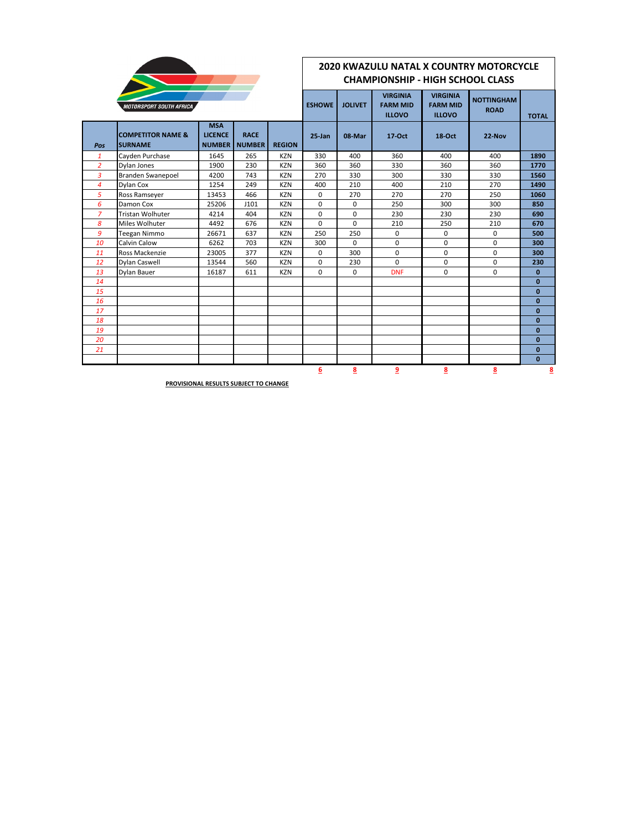

## **2020 KWAZULU NATAL X COUNTRY MOTORCYCLE CHAMPIONSHIP - HIGH SCHOOL CLASS**

|                | <b>MOTORSPORT SOUTH AFRICA</b>                 |                                               |                              |               | <b>ESHOWE</b> | <b>JOLIVET</b> | <b>VIRGINIA</b><br><b>FARM MID</b><br><b>ILLOVO</b> | <b>VIRGINIA</b><br><b>FARM MID</b><br><b>ILLOVO</b> | <b>NOTTINGHAM</b><br><b>ROAD</b> | <b>TOTAL</b> |
|----------------|------------------------------------------------|-----------------------------------------------|------------------------------|---------------|---------------|----------------|-----------------------------------------------------|-----------------------------------------------------|----------------------------------|--------------|
| Pos            | <b>COMPETITOR NAME &amp;</b><br><b>SURNAME</b> | <b>MSA</b><br><b>LICENCE</b><br><b>NUMBER</b> | <b>RACE</b><br><b>NUMBER</b> | <b>REGION</b> | $25 - Jan$    | 08-Mar         | 17-Oct                                              | $18-Oct$                                            | 22-Nov                           |              |
| $\mathbf{1}$   | Cayden Purchase                                | 1645                                          | 265                          | <b>KZN</b>    | 330           | 400            | 360                                                 | 400                                                 | 400                              | 1890         |
| $\overline{2}$ | Dylan Jones                                    | 1900                                          | 230                          | <b>KZN</b>    | 360           | 360            | 330                                                 | 360                                                 | 360                              | 1770         |
| 3              | <b>Branden Swanepoel</b>                       | 4200                                          | 743                          | <b>KZN</b>    | 270           | 330            | 300                                                 | 330                                                 | 330                              | 1560         |
| 4              | Dylan Cox                                      | 1254                                          | 249                          | <b>KZN</b>    | 400           | 210            | 400                                                 | 210                                                 | 270                              | 1490         |
| 5              | Ross Ramseyer                                  | 13453                                         | 466                          | <b>KZN</b>    | 0             | 270            | 270                                                 | 270                                                 | 250                              | 1060         |
| 6              | Damon Cox                                      | 25206                                         | J101                         | <b>KZN</b>    | 0             | $\mathbf 0$    | 250                                                 | 300                                                 | 300                              | 850          |
| $\overline{z}$ | <b>Tristan Wolhuter</b>                        | 4214                                          | 404                          | <b>KZN</b>    | 0             | $\mathbf 0$    | 230                                                 | 230                                                 | 230                              | 690          |
| 8              | Miles Wolhuter                                 | 4492                                          | 676                          | <b>KZN</b>    | $\Omega$      | $\Omega$       | 210                                                 | 250                                                 | 210                              | 670          |
| 9              | Teegan Nimmo                                   | 26671                                         | 637                          | <b>KZN</b>    | 250           | 250            | 0                                                   | $\mathbf 0$                                         | $\mathbf 0$                      | 500          |
| 10             | Calvin Calow                                   | 6262                                          | 703                          | <b>KZN</b>    | 300           | $\Omega$       | 0                                                   | $\mathbf 0$                                         | $\mathbf 0$                      | 300          |
| 11             | Ross Mackenzie                                 | 23005                                         | 377                          | <b>KZN</b>    | 0             | 300            | $\mathbf 0$                                         | $\mathbf 0$                                         | $\mathbf 0$                      | 300          |
| 12             | <b>Dylan Caswell</b>                           | 13544                                         | 560                          | <b>KZN</b>    | $\Omega$      | 230            | $\Omega$                                            | $\Omega$                                            | $\Omega$                         | 230          |
| 13             | Dylan Bauer                                    | 16187                                         | 611                          | <b>KZN</b>    | $\Omega$      | 0              | <b>DNF</b>                                          | $\mathbf 0$                                         | $\mathbf 0$                      | $\bf{0}$     |
| 14             |                                                |                                               |                              |               |               |                |                                                     |                                                     |                                  | $\mathbf{0}$ |
| 15             |                                                |                                               |                              |               |               |                |                                                     |                                                     |                                  | $\mathbf{0}$ |
| 16             |                                                |                                               |                              |               |               |                |                                                     |                                                     |                                  | $\mathbf{0}$ |
| 17             |                                                |                                               |                              |               |               |                |                                                     |                                                     |                                  | $\mathbf{0}$ |
| 18             |                                                |                                               |                              |               |               |                |                                                     |                                                     |                                  | $\mathbf{0}$ |
| 19             |                                                |                                               |                              |               |               |                |                                                     |                                                     |                                  | $\mathbf{0}$ |
| 20             |                                                |                                               |                              |               |               |                |                                                     |                                                     |                                  | $\mathbf{0}$ |
| 21             |                                                |                                               |                              |               |               |                |                                                     |                                                     |                                  | $\mathbf{0}$ |
|                |                                                |                                               |                              |               |               |                |                                                     |                                                     |                                  | $\mathbf{0}$ |
|                |                                                |                                               |                              |               | <u>6</u>      | 8              | <u>9</u>                                            | 8                                                   | 8                                | 8            |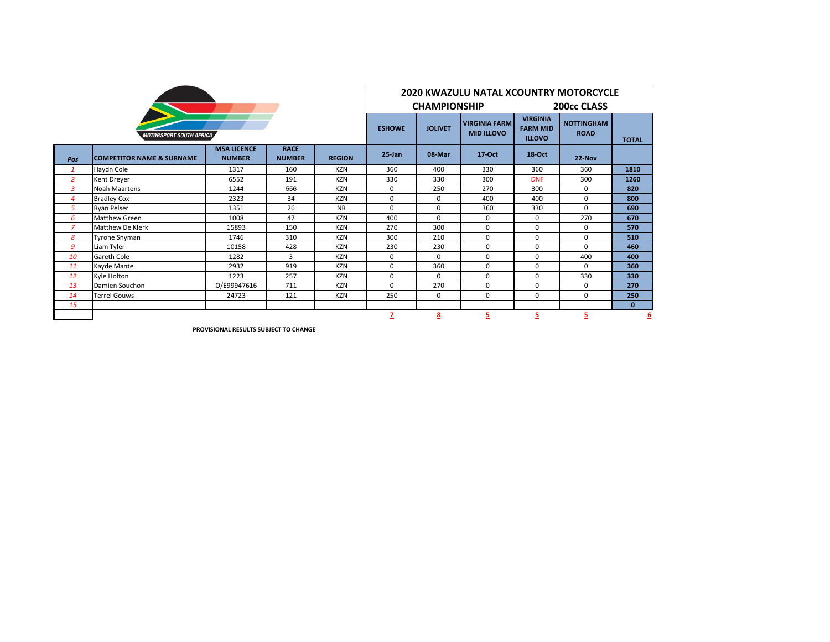| <b>MOTORSPORT SOUTH AFRICA</b> |                                      |                                     |                              |               |           | <b>2020 KWAZULU NATAL XCOUNTRY MOTORCYCLE</b> |                                           |                                                     |                                  |              |  |  |  |
|--------------------------------|--------------------------------------|-------------------------------------|------------------------------|---------------|-----------|-----------------------------------------------|-------------------------------------------|-----------------------------------------------------|----------------------------------|--------------|--|--|--|
|                                |                                      |                                     |                              |               |           | <b>CHAMPIONSHIP</b>                           |                                           | 200cc CLASS                                         |                                  |              |  |  |  |
|                                |                                      |                                     |                              |               |           | <b>JOLIVET</b>                                | <b>VIRGINIA FARM</b><br><b>MID ILLOVO</b> | <b>VIRGINIA</b><br><b>FARM MID</b><br><b>ILLOVO</b> | <b>NOTTINGHAM</b><br><b>ROAD</b> | <b>TOTAL</b> |  |  |  |
| Pos                            | <b>COMPETITOR NAME &amp; SURNAME</b> | <b>MSA LICENCE</b><br><b>NUMBER</b> | <b>RACE</b><br><b>NUMBER</b> | <b>REGION</b> | $25$ -Jan | 08-Mar                                        | 17-Oct                                    | <b>18-Oct</b>                                       | 22-Nov                           |              |  |  |  |
| $\mathbf{1}$                   | Haydn Cole                           | 1317                                | 160                          | <b>KZN</b>    | 360       | 400                                           | 330                                       | 360                                                 | 360                              | 1810         |  |  |  |
| $\overline{2}$                 | Kent Dreyer                          | 6552                                | 191                          | <b>KZN</b>    | 330       | 330                                           | 300                                       | <b>DNF</b>                                          | 300                              | 1260         |  |  |  |
| 3                              | <b>Noah Maartens</b>                 | 1244                                | 556                          | <b>KZN</b>    | 0         | 250                                           | 270                                       | 300                                                 | 0                                | 820          |  |  |  |
| 4                              | <b>Bradley Cox</b>                   | 2323                                | 34                           | <b>KZN</b>    | 0         | 0                                             | 400                                       | 400                                                 | 0                                | 800          |  |  |  |
| 5                              | <b>Ryan Pelser</b>                   | 1351                                | 26                           | <b>NR</b>     | $\Omega$  | 0                                             | 360                                       | 330                                                 | $\Omega$                         | 690          |  |  |  |
| 6                              | <b>Matthew Green</b>                 | 1008                                | 47                           | <b>KZN</b>    | 400       | $\Omega$                                      | 0                                         | $\mathbf 0$                                         | 270                              | 670          |  |  |  |
| $\overline{7}$                 | <b>Matthew De Klerk</b>              | 15893                               | 150                          | <b>KZN</b>    | 270       | 300                                           | $\mathbf 0$                               | $\mathbf 0$                                         | $\mathbf 0$                      | 570          |  |  |  |
| 8                              | <b>Tyrone Snyman</b>                 | 1746                                | 310                          | <b>KZN</b>    | 300       | 210                                           | 0                                         | 0                                                   | 0                                | 510          |  |  |  |
| 9                              | Liam Tyler                           | 10158                               | 428                          | <b>KZN</b>    | 230       | 230                                           | 0                                         | $\Omega$                                            | $\Omega$                         | 460          |  |  |  |
| 10                             | <b>Gareth Cole</b>                   | 1282                                | $\overline{3}$               | <b>KZN</b>    | 0         | $\Omega$                                      | 0                                         | 0                                                   | 400                              | 400          |  |  |  |
| 11                             | Kavde Mante                          | 2932                                | 919                          | <b>KZN</b>    | 0         | 360                                           | 0                                         | 0                                                   | $\Omega$                         | 360          |  |  |  |
| 12                             | Kyle Holton                          | 1223                                | 257                          | <b>KZN</b>    | 0         | $\Omega$                                      | 0                                         | 0                                                   | 330                              | 330          |  |  |  |
| 13                             | Damien Souchon                       | O/E99947616                         | 711                          | <b>KZN</b>    | $\Omega$  | 270                                           | 0                                         | $\Omega$                                            | $\Omega$                         | 270          |  |  |  |
| 14                             | <b>Terrel Gouws</b>                  | 24723                               | 121                          | <b>KZN</b>    | 250       | $\Omega$                                      | 0                                         | $\Omega$                                            | $\Omega$                         | 250          |  |  |  |
| 15                             |                                      |                                     |                              |               |           |                                               |                                           |                                                     |                                  | $\mathbf{0}$ |  |  |  |
|                                |                                      |                                     |                              |               | 7         | <u>8</u>                                      | 5                                         | 5                                                   | 5                                | 6            |  |  |  |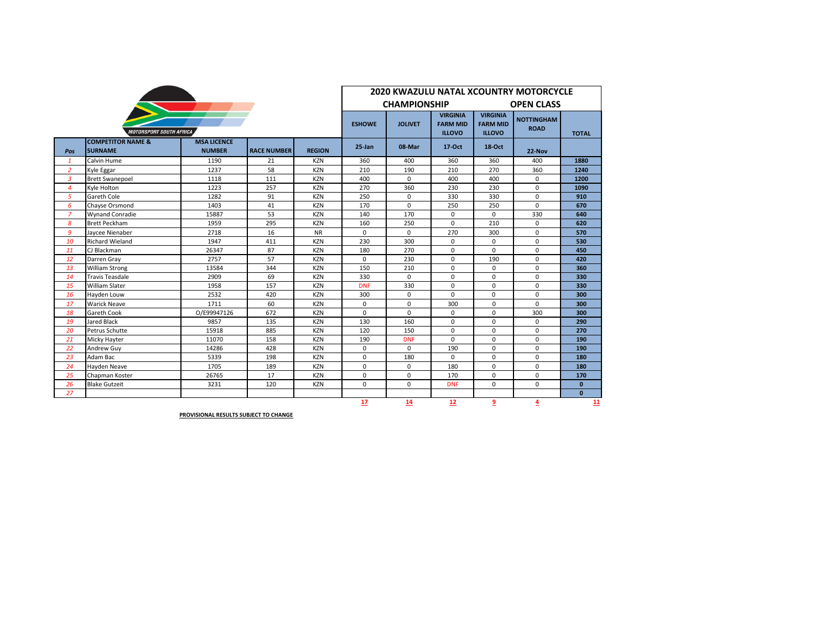|                |                                                | <b>2020 KWAZULU NATAL XCOUNTRY MOTORCYCLE</b> |                    |               |               |                                          |                                                     |                                                     |                                  |              |  |  |
|----------------|------------------------------------------------|-----------------------------------------------|--------------------|---------------|---------------|------------------------------------------|-----------------------------------------------------|-----------------------------------------------------|----------------------------------|--------------|--|--|
|                |                                                |                                               |                    |               |               | <b>CHAMPIONSHIP</b><br><b>OPEN CLASS</b> |                                                     |                                                     |                                  |              |  |  |
|                | <b>MOTORSPORT SOUTH AFRICA</b>                 |                                               |                    |               | <b>ESHOWE</b> | <b>JOLIVET</b>                           | <b>VIRGINIA</b><br><b>FARM MID</b><br><b>ILLOVO</b> | <b>VIRGINIA</b><br><b>FARM MID</b><br><b>ILLOVO</b> | <b>NOTTINGHAM</b><br><b>ROAD</b> | <b>TOTAL</b> |  |  |
| Pos            | <b>COMPETITOR NAME &amp;</b><br><b>SURNAME</b> | <b>MSA LICENCE</b><br><b>NUMBER</b>           | <b>RACE NUMBER</b> | <b>REGION</b> | $25 - Jan$    | 08-Mar                                   | 17-Oct                                              | 18-Oct                                              | $22-Nov$                         |              |  |  |
| 1              | Calvin Hume                                    | 1190                                          | 21                 | <b>KZN</b>    | 360           | 400                                      | 360                                                 | 360                                                 | 400                              | 1880         |  |  |
| $\overline{2}$ | Kyle Eggar                                     | 1237                                          | 58                 | <b>KZN</b>    | 210           | 190                                      | 210                                                 | 270                                                 | 360                              | 1240         |  |  |
| 3              | <b>Brett Swanepoel</b>                         | 1118                                          | 111                | <b>KZN</b>    | 400           | $\mathbf 0$                              | 400                                                 | 400                                                 | 0                                | 1200         |  |  |
| $\overline{4}$ | Kyle Holton                                    | 1223                                          | 257                | <b>KZN</b>    | 270           | 360                                      | 230                                                 | 230                                                 | 0                                | 1090         |  |  |
| 5              | Gareth Cole                                    | 1282                                          | 91                 | <b>KZN</b>    | 250           | $\mathbf 0$                              | 330                                                 | 330                                                 | $\mathbf 0$                      | 910          |  |  |
| 6              | Chayse Orsmond                                 | 1403                                          | 41                 | <b>KZN</b>    | 170           | $\Omega$                                 | 250                                                 | 250                                                 | $\Omega$                         | 670          |  |  |
| $\overline{z}$ | <b>Wynand Conradie</b>                         | 15887                                         | 53                 | <b>KZN</b>    | 140           | 170                                      | $\mathbf 0$                                         | 0                                                   | 330                              | 640          |  |  |
| 8              | <b>Brett Peckham</b>                           | 1959                                          | 295                | <b>KZN</b>    | 160           | 250                                      | $\Omega$                                            | 210                                                 | $\mathbf 0$                      | 620          |  |  |
| 9              | Javcee Nienaber                                | 2718                                          | 16                 | <b>NR</b>     | $\Omega$      | $\Omega$                                 | 270                                                 | 300                                                 | $\Omega$                         | 570          |  |  |
| 10             | <b>Richard Wieland</b>                         | 1947                                          | 411                | <b>KZN</b>    | 230           | 300                                      | $\Omega$                                            | 0                                                   | $\mathbf 0$                      | 530          |  |  |
| 11             | CJ Blackman                                    | 26347                                         | 87                 | <b>KZN</b>    | 180           | 270                                      | $\Omega$                                            | $\Omega$                                            | $\mathbf 0$                      | 450          |  |  |
| 12             | Darren Gray                                    | 2757                                          | 57                 | <b>KZN</b>    | $\Omega$      | 230                                      | $\Omega$                                            | 190                                                 | $\mathbf 0$                      | 420          |  |  |
| 13             | <b>William Strong</b>                          | 13584                                         | 344                | <b>KZN</b>    | 150           | 210                                      | $\Omega$                                            | $\Omega$                                            | $\mathbf 0$                      | 360          |  |  |
| 14             | <b>Travis Teasdale</b>                         | 2909                                          | 69                 | <b>KZN</b>    | 330           | $\Omega$                                 | $\Omega$                                            | $\Omega$                                            | $\mathbf 0$                      | 330          |  |  |
| 15             | <b>William Slater</b>                          | 1958                                          | 157                | <b>KZN</b>    | <b>DNF</b>    | 330                                      | $\Omega$                                            | 0                                                   | $\mathbf 0$                      | 330          |  |  |
| 16             | Havden Louw                                    | 2532                                          | 420                | <b>KZN</b>    | 300           | $\Omega$                                 | $\Omega$                                            | 0                                                   | $\mathbf 0$                      | 300          |  |  |
| 17             | <b>Warick Neave</b>                            | 1711                                          | 60                 | <b>KZN</b>    | $\Omega$      | $\Omega$                                 | 300                                                 | $\mathbf 0$                                         | $\Omega$                         | 300          |  |  |
| 18             | Gareth Cook                                    | O/E99947126                                   | 672                | <b>KZN</b>    | 0             | $\Omega$                                 | $\mathbf 0$                                         | $\mathbf 0$                                         | 300                              | 300          |  |  |
| 19             | <b>Jared Black</b>                             | 9857                                          | 135                | <b>KZN</b>    | 130           | 160                                      | $\mathbf 0$                                         | $\mathbf 0$                                         | $\mathbf 0$                      | 290          |  |  |
| 20             | Petrus Schutte                                 | 15918                                         | 885                | <b>KZN</b>    | 120           | 150                                      | $\Omega$                                            | $\mathbf 0$                                         | $\mathbf 0$                      | 270          |  |  |
| 21             | Micky Hayter                                   | 11070                                         | 158                | <b>KZN</b>    | 190           | <b>DNF</b>                               | $\Omega$                                            | 0                                                   | $\mathbf 0$                      | 190          |  |  |
| 22             | Andrew Guy                                     | 14286                                         | 428                | <b>KZN</b>    | 0             | $\mathbf 0$                              | 190                                                 | 0                                                   | $\mathbf 0$                      | 190          |  |  |
| 23             | Adam Bac                                       | 5339                                          | 198                | <b>KZN</b>    | 0             | 180                                      | $\Omega$                                            | $\Omega$                                            | $\mathbf 0$                      | 180          |  |  |
| 24             | Hayden Neave                                   | 1705                                          | 189                | <b>KZN</b>    | 0             | 0                                        | 180                                                 | 0                                                   | $\mathbf 0$                      | 180          |  |  |
| 25             | Chapman Koster                                 | 26765                                         | 17                 | <b>KZN</b>    | $\Omega$      | $\Omega$                                 | 170                                                 | $\Omega$                                            | $\mathbf 0$                      | 170          |  |  |
| 26             | <b>Blake Gutzeit</b>                           | 3231                                          | 120                | <b>KZN</b>    | $\Omega$      | $\Omega$                                 | <b>DNF</b>                                          | 0                                                   | 0                                | $\mathbf{0}$ |  |  |
| 27             |                                                |                                               |                    |               |               |                                          |                                                     |                                                     |                                  | $\mathbf{0}$ |  |  |
|                |                                                |                                               |                    |               | 17            | 14                                       | 12                                                  | $\overline{9}$                                      | 4                                | 11           |  |  |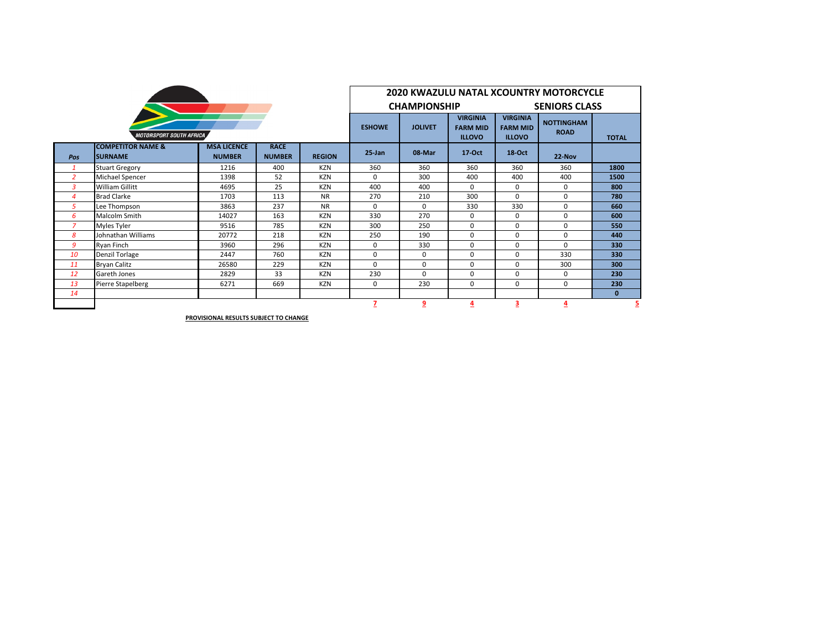| <b>MOTORSPORT SOUTH AFRICA</b> |                                                |                                     |                              |               |            | 2020 KWAZULU NATAL XCOUNTRY MOTORCYCLE |                                                     |                                                     |                                  |              |  |  |  |
|--------------------------------|------------------------------------------------|-------------------------------------|------------------------------|---------------|------------|----------------------------------------|-----------------------------------------------------|-----------------------------------------------------|----------------------------------|--------------|--|--|--|
|                                |                                                |                                     |                              |               |            | <b>CHAMPIONSHIP</b>                    |                                                     | <b>SENIORS CLASS</b>                                |                                  |              |  |  |  |
|                                |                                                |                                     |                              |               |            | <b>JOLIVET</b>                         | <b>VIRGINIA</b><br><b>FARM MID</b><br><b>ILLOVO</b> | <b>VIRGINIA</b><br><b>FARM MID</b><br><b>ILLOVO</b> | <b>NOTTINGHAM</b><br><b>ROAD</b> | <b>TOTAL</b> |  |  |  |
| Pos                            | <b>COMPETITOR NAME &amp;</b><br><b>SURNAME</b> | <b>MSA LICENCE</b><br><b>NUMBER</b> | <b>RACE</b><br><b>NUMBER</b> | <b>REGION</b> | $25 - Jan$ | 08-Mar                                 | $17-Oct$                                            | $18-Oct$                                            | 22-Nov                           |              |  |  |  |
|                                | <b>Stuart Gregory</b>                          | 1216                                | 400                          | <b>KZN</b>    | 360        | 360                                    | 360                                                 | 360                                                 | 360                              | 1800         |  |  |  |
| $\overline{2}$                 | Michael Spencer                                | 1398                                | 52                           | <b>KZN</b>    | 0          | 300                                    | 400                                                 | 400                                                 | 400                              | 1500         |  |  |  |
| 3                              | William Gillitt                                | 4695                                | 25                           | <b>KZN</b>    | 400        | 400                                    | $\Omega$                                            | $\Omega$                                            | 0                                | 800          |  |  |  |
| Δ                              | <b>Brad Clarke</b>                             | 1703                                | 113                          | <b>NR</b>     | 270        | 210                                    | 300                                                 | 0                                                   | 0                                | 780          |  |  |  |
| 5                              | Lee Thompson                                   | 3863                                | 237                          | <b>NR</b>     | 0          | 0                                      | 330                                                 | 330                                                 | 0                                | 660          |  |  |  |
| 6                              | Malcolm Smith                                  | 14027                               | 163                          | <b>KZN</b>    | 330        | 270                                    | $\Omega$                                            | 0                                                   | 0                                | 600          |  |  |  |
| 7                              | Myles Tyler                                    | 9516                                | 785                          | <b>KZN</b>    | 300        | 250                                    | $\Omega$                                            | $\Omega$                                            | 0                                | 550          |  |  |  |
| 8                              | Johnathan Williams                             | 20772                               | 218                          | <b>KZN</b>    | 250        | 190                                    | 0                                                   | 0                                                   | 0                                | 440          |  |  |  |
| 9                              | <b>Rvan Finch</b>                              | 3960                                | 296                          | <b>KZN</b>    | 0          | 330                                    | $\Omega$                                            | $\Omega$                                            | 0                                | 330          |  |  |  |
| 10                             | <b>Denzil Torlage</b>                          | 2447                                | 760                          | <b>KZN</b>    | 0          | 0                                      | $\Omega$                                            | 0                                                   | 330                              | 330          |  |  |  |
| 11                             | <b>Bryan Calitz</b>                            | 26580                               | 229                          | <b>KZN</b>    | 0          | 0                                      | $\Omega$                                            | 0                                                   | 300                              | 300          |  |  |  |
| 12                             | Gareth Jones                                   | 2829                                | 33                           | <b>KZN</b>    | 230        | $\Omega$                               | $\Omega$                                            | <sup>0</sup>                                        | 0                                | 230          |  |  |  |
| 13                             | Pierre Stapelberg                              | 6271                                | 669                          | <b>KZN</b>    | 0          | 230                                    | $\Omega$                                            | $\Omega$                                            | 0                                | 230          |  |  |  |
| 14                             |                                                |                                     |                              |               |            |                                        |                                                     |                                                     |                                  | $\bf{0}$     |  |  |  |
|                                |                                                |                                     |                              |               | 7          | 9                                      | $\overline{4}$                                      | 3                                                   | 4                                | 5            |  |  |  |